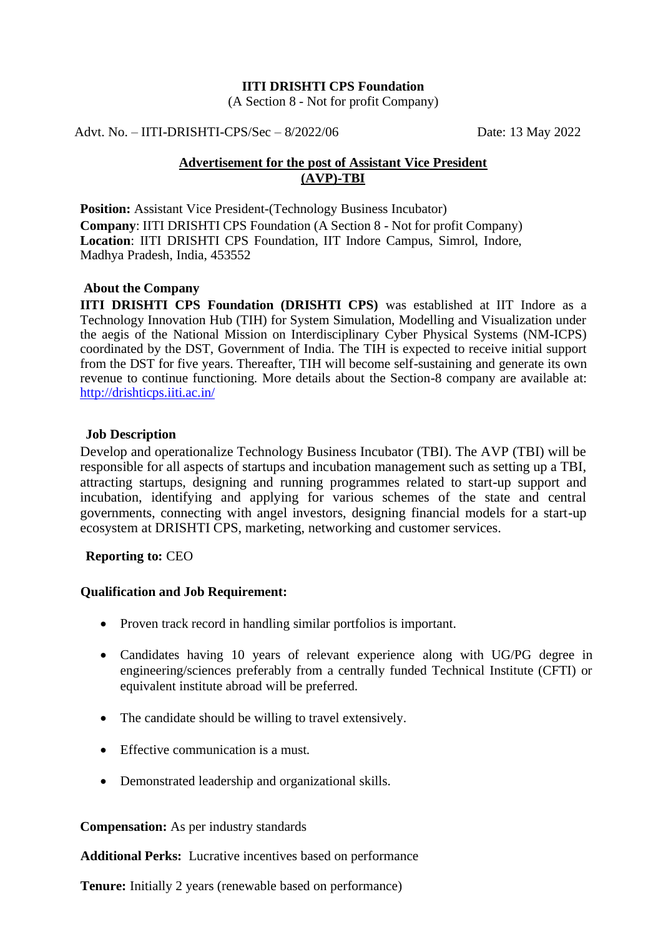#### **IITI DRISHTI CPS Foundation**

(A Section 8 - Not for profit Company)

Advt. No. – IITI-DRISHTI-CPS/Sec – 8/2022/06 Date: 13 May 2022

# **Advertisement for the post of Assistant Vice President (AVP)-TBI**

**Position:** Assistant Vice President-(Technology Business Incubator) **Company**: IITI DRISHTI CPS Foundation (A Section 8 - Not for profit Company) **Location**: IITI DRISHTI CPS Foundation, IIT Indore Campus, Simrol, Indore, Madhya Pradesh, India, 453552

## **About the Company**

**IITI DRISHTI CPS Foundation (DRISHTI CPS)** was established at IIT Indore as a Technology Innovation Hub (TIH) for System Simulation, Modelling and Visualization under the aegis of the National Mission on Interdisciplinary Cyber Physical Systems (NM-ICPS) coordinated by the DST, Government of India. The TIH is expected to receive initial support from the DST for five years. Thereafter, TIH will become self-sustaining and generate its own revenue to continue functioning. More details about the Section-8 company are available at: <http://drishticps.iiti.ac.in/>

### **Job Description**

Develop and operationalize Technology Business Incubator (TBI). The AVP (TBI) will be responsible for all aspects of startups and incubation management such as setting up a TBI, attracting startups, designing and running programmes related to start-up support and incubation, identifying and applying for various schemes of the state and central governments, connecting with angel investors, designing financial models for a start-up ecosystem at DRISHTI CPS, marketing, networking and customer services.

### **Reporting to:** CEO

### **Qualification and Job Requirement:**

- Proven track record in handling similar portfolios is important.
- Candidates having 10 years of relevant experience along with UG/PG degree in engineering/sciences preferably from a centrally funded Technical Institute (CFTI) or equivalent institute abroad will be preferred.
- The candidate should be willing to travel extensively.
- Effective communication is a must.
- Demonstrated leadership and organizational skills.

### **Compensation:** As per industry standards

**Additional Perks:** Lucrative incentives based on performance

**Tenure:** Initially 2 years (renewable based on performance)